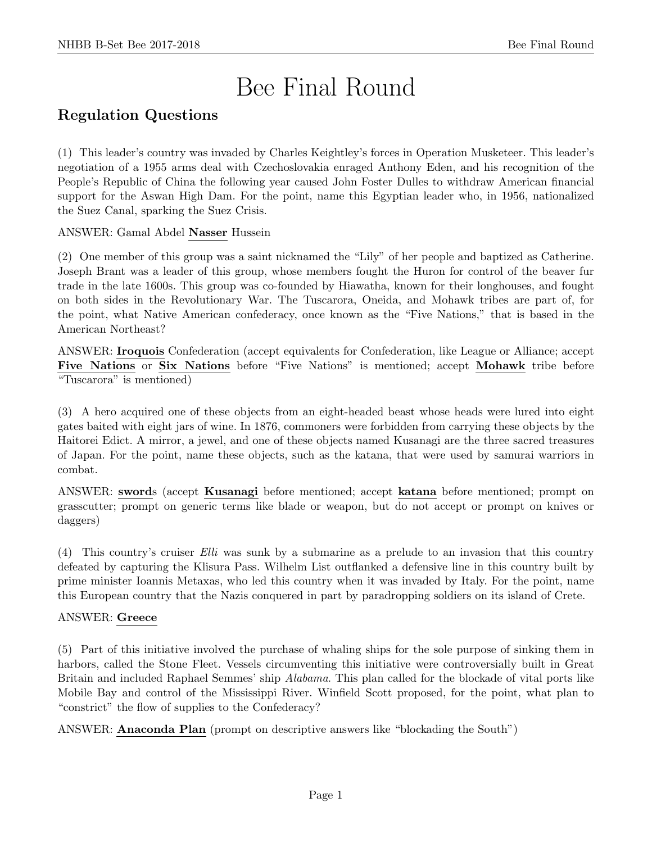# Bee Final Round

# Regulation Questions

(1) This leader's country was invaded by Charles Keightley's forces in Operation Musketeer. This leader's negotiation of a 1955 arms deal with Czechoslovakia enraged Anthony Eden, and his recognition of the People's Republic of China the following year caused John Foster Dulles to withdraw American financial support for the Aswan High Dam. For the point, name this Egyptian leader who, in 1956, nationalized the Suez Canal, sparking the Suez Crisis.

ANSWER: Gamal Abdel Nasser Hussein

(2) One member of this group was a saint nicknamed the "Lily" of her people and baptized as Catherine. Joseph Brant was a leader of this group, whose members fought the Huron for control of the beaver fur trade in the late 1600s. This group was co-founded by Hiawatha, known for their longhouses, and fought on both sides in the Revolutionary War. The Tuscarora, Oneida, and Mohawk tribes are part of, for the point, what Native American confederacy, once known as the "Five Nations," that is based in the American Northeast?

ANSWER: Iroquois Confederation (accept equivalents for Confederation, like League or Alliance; accept Five Nations or Six Nations before "Five Nations" is mentioned; accept Mohawk tribe before "Tuscarora" is mentioned)

(3) A hero acquired one of these objects from an eight-headed beast whose heads were lured into eight gates baited with eight jars of wine. In 1876, commoners were forbidden from carrying these objects by the Haitorei Edict. A mirror, a jewel, and one of these objects named Kusanagi are the three sacred treasures of Japan. For the point, name these objects, such as the katana, that were used by samurai warriors in combat.

ANSWER: swords (accept Kusanagi before mentioned; accept katana before mentioned; prompt on grasscutter; prompt on generic terms like blade or weapon, but do not accept or prompt on knives or daggers)

(4) This country's cruiser Elli was sunk by a submarine as a prelude to an invasion that this country defeated by capturing the Klisura Pass. Wilhelm List outflanked a defensive line in this country built by prime minister Ioannis Metaxas, who led this country when it was invaded by Italy. For the point, name this European country that the Nazis conquered in part by paradropping soldiers on its island of Crete.

# ANSWER: Greece

(5) Part of this initiative involved the purchase of whaling ships for the sole purpose of sinking them in harbors, called the Stone Fleet. Vessels circumventing this initiative were controversially built in Great Britain and included Raphael Semmes' ship Alabama. This plan called for the blockade of vital ports like Mobile Bay and control of the Mississippi River. Winfield Scott proposed, for the point, what plan to "constrict" the flow of supplies to the Confederacy?

ANSWER: Anaconda Plan (prompt on descriptive answers like "blockading the South")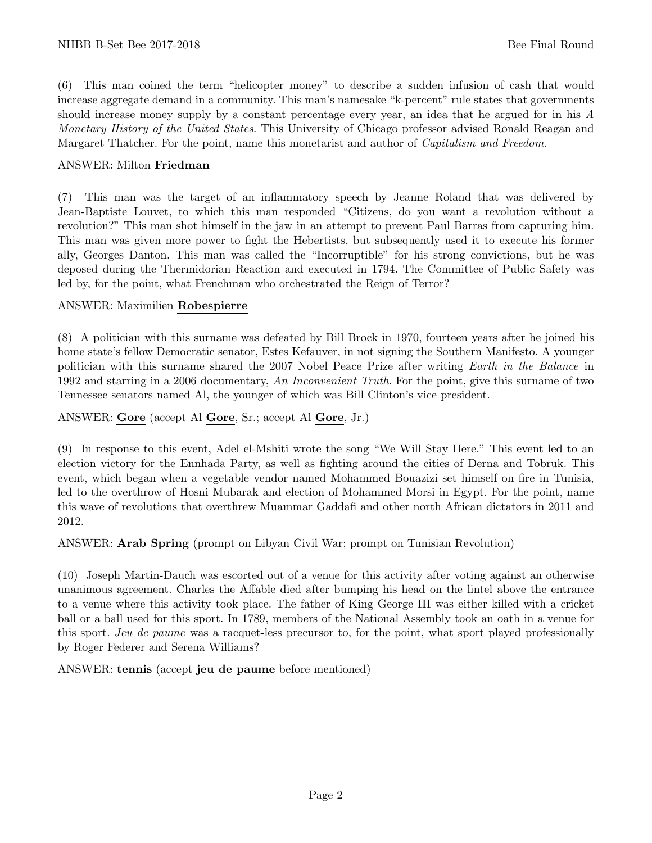(6) This man coined the term "helicopter money" to describe a sudden infusion of cash that would increase aggregate demand in a community. This man's namesake "k-percent" rule states that governments should increase money supply by a constant percentage every year, an idea that he argued for in his A Monetary History of the United States. This University of Chicago professor advised Ronald Reagan and Margaret Thatcher. For the point, name this monetarist and author of *Capitalism and Freedom*.

#### ANSWER: Milton Friedman

(7) This man was the target of an inflammatory speech by Jeanne Roland that was delivered by Jean-Baptiste Louvet, to which this man responded "Citizens, do you want a revolution without a revolution?" This man shot himself in the jaw in an attempt to prevent Paul Barras from capturing him. This man was given more power to fight the Hebertists, but subsequently used it to execute his former ally, Georges Danton. This man was called the "Incorruptible" for his strong convictions, but he was deposed during the Thermidorian Reaction and executed in 1794. The Committee of Public Safety was led by, for the point, what Frenchman who orchestrated the Reign of Terror?

#### ANSWER: Maximilien Robespierre

(8) A politician with this surname was defeated by Bill Brock in 1970, fourteen years after he joined his home state's fellow Democratic senator, Estes Kefauver, in not signing the Southern Manifesto. A younger politician with this surname shared the 2007 Nobel Peace Prize after writing Earth in the Balance in 1992 and starring in a 2006 documentary, An Inconvenient Truth. For the point, give this surname of two Tennessee senators named Al, the younger of which was Bill Clinton's vice president.

#### ANSWER: Gore (accept Al Gore, Sr.; accept Al Gore, Jr.)

(9) In response to this event, Adel el-Mshiti wrote the song "We Will Stay Here." This event led to an election victory for the Ennhada Party, as well as fighting around the cities of Derna and Tobruk. This event, which began when a vegetable vendor named Mohammed Bouazizi set himself on fire in Tunisia, led to the overthrow of Hosni Mubarak and election of Mohammed Morsi in Egypt. For the point, name this wave of revolutions that overthrew Muammar Gaddafi and other north African dictators in 2011 and 2012.

ANSWER: Arab Spring (prompt on Libyan Civil War; prompt on Tunisian Revolution)

(10) Joseph Martin-Dauch was escorted out of a venue for this activity after voting against an otherwise unanimous agreement. Charles the Affable died after bumping his head on the lintel above the entrance to a venue where this activity took place. The father of King George III was either killed with a cricket ball or a ball used for this sport. In 1789, members of the National Assembly took an oath in a venue for this sport. Jeu de paume was a racquet-less precursor to, for the point, what sport played professionally by Roger Federer and Serena Williams?

ANSWER: tennis (accept jeu de paume before mentioned)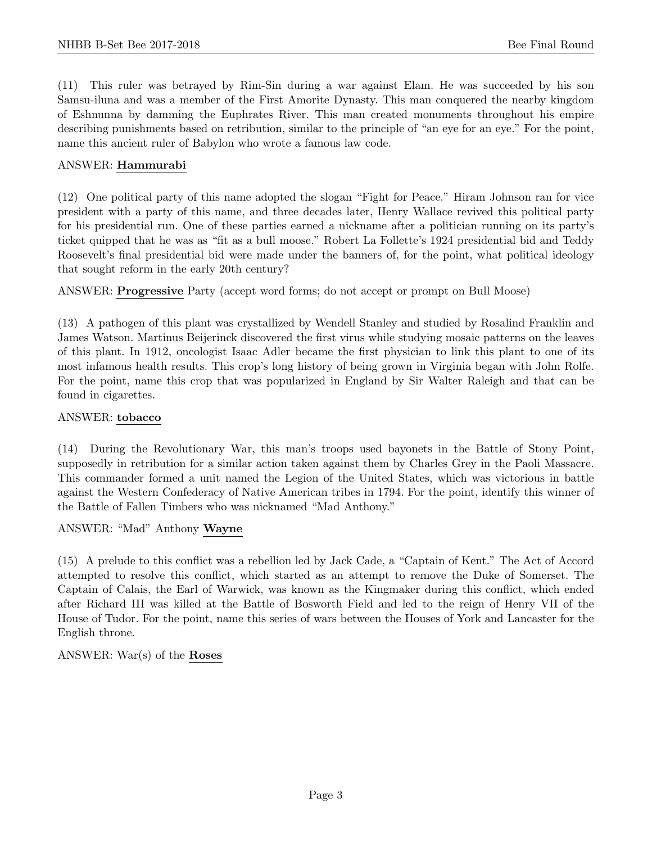(11) This ruler was betrayed by Rim-Sin during a war against Elam. He was succeeded by his son Samsu-iluna and was a member of the First Amorite Dynasty. This man conquered the nearby kingdom of Eshnunna by damming the Euphrates River. This man created monuments throughout his empire describing punishments based on retribution, similar to the principle of "an eye for an eye." For the point, name this ancient ruler of Babylon who wrote a famous law code.

#### ANSWER: Hammurabi

(12) One political party of this name adopted the slogan "Fight for Peace." Hiram Johnson ran for vice president with a party of this name, and three decades later, Henry Wallace revived this political party for his presidential run. One of these parties earned a nickname after a politician running on its party's ticket quipped that he was as "fit as a bull moose." Robert La Follette's 1924 presidential bid and Teddy Roosevelt's final presidential bid were made under the banners of, for the point, what political ideology that sought reform in the early 20th century?

ANSWER: Progressive Party (accept word forms; do not accept or prompt on Bull Moose)

(13) A pathogen of this plant was crystallized by Wendell Stanley and studied by Rosalind Franklin and James Watson. Martinus Beijerinck discovered the first virus while studying mosaic patterns on the leaves of this plant. In 1912, oncologist Isaac Adler became the first physician to link this plant to one of its most infamous health results. This crop's long history of being grown in Virginia began with John Rolfe. For the point, name this crop that was popularized in England by Sir Walter Raleigh and that can be found in cigarettes.

#### ANSWER: tobacco

(14) During the Revolutionary War, this man's troops used bayonets in the Battle of Stony Point, supposedly in retribution for a similar action taken against them by Charles Grey in the Paoli Massacre. This commander formed a unit named the Legion of the United States, which was victorious in battle against the Western Confederacy of Native American tribes in 1794. For the point, identify this winner of the Battle of Fallen Timbers who was nicknamed "Mad Anthony."

ANSWER: "Mad" Anthony Wayne

(15) A prelude to this conflict was a rebellion led by Jack Cade, a "Captain of Kent." The Act of Accord attempted to resolve this conflict, which started as an attempt to remove the Duke of Somerset. The Captain of Calais, the Earl of Warwick, was known as the Kingmaker during this conflict, which ended after Richard III was killed at the Battle of Bosworth Field and led to the reign of Henry VII of the House of Tudor. For the point, name this series of wars between the Houses of York and Lancaster for the English throne.

ANSWER: War(s) of the Roses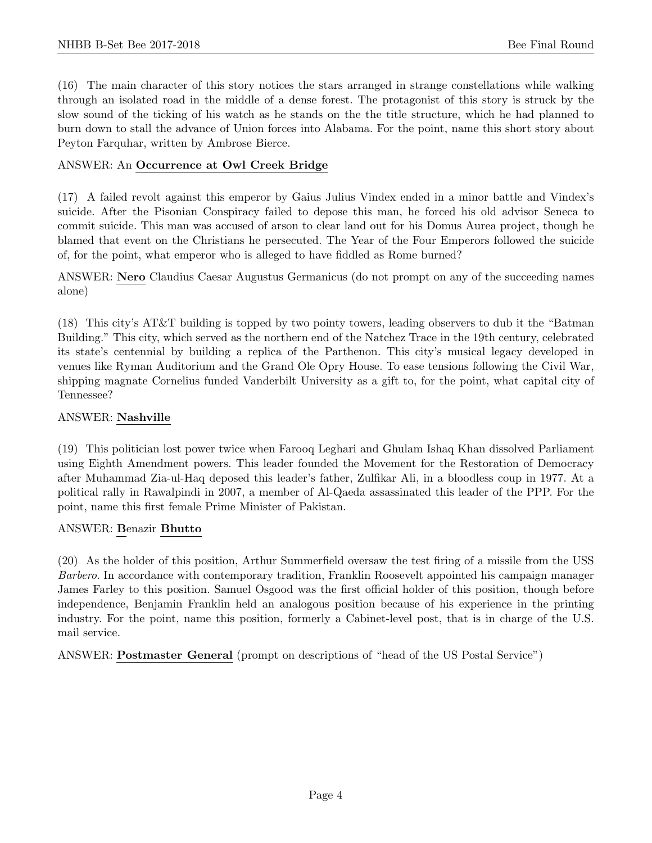(16) The main character of this story notices the stars arranged in strange constellations while walking through an isolated road in the middle of a dense forest. The protagonist of this story is struck by the slow sound of the ticking of his watch as he stands on the the title structure, which he had planned to burn down to stall the advance of Union forces into Alabama. For the point, name this short story about Peyton Farquhar, written by Ambrose Bierce.

#### ANSWER: An Occurrence at Owl Creek Bridge

(17) A failed revolt against this emperor by Gaius Julius Vindex ended in a minor battle and Vindex's suicide. After the Pisonian Conspiracy failed to depose this man, he forced his old advisor Seneca to commit suicide. This man was accused of arson to clear land out for his Domus Aurea project, though he blamed that event on the Christians he persecuted. The Year of the Four Emperors followed the suicide of, for the point, what emperor who is alleged to have fiddled as Rome burned?

ANSWER: Nero Claudius Caesar Augustus Germanicus (do not prompt on any of the succeeding names alone)

(18) This city's AT&T building is topped by two pointy towers, leading observers to dub it the "Batman Building." This city, which served as the northern end of the Natchez Trace in the 19th century, celebrated its state's centennial by building a replica of the Parthenon. This city's musical legacy developed in venues like Ryman Auditorium and the Grand Ole Opry House. To ease tensions following the Civil War, shipping magnate Cornelius funded Vanderbilt University as a gift to, for the point, what capital city of Tennessee?

#### ANSWER: Nashville

(19) This politician lost power twice when Farooq Leghari and Ghulam Ishaq Khan dissolved Parliament using Eighth Amendment powers. This leader founded the Movement for the Restoration of Democracy after Muhammad Zia-ul-Haq deposed this leader's father, Zulfikar Ali, in a bloodless coup in 1977. At a political rally in Rawalpindi in 2007, a member of Al-Qaeda assassinated this leader of the PPP. For the point, name this first female Prime Minister of Pakistan.

#### ANSWER: Benazir Bhutto

(20) As the holder of this position, Arthur Summerfield oversaw the test firing of a missile from the USS Barbero. In accordance with contemporary tradition, Franklin Roosevelt appointed his campaign manager James Farley to this position. Samuel Osgood was the first official holder of this position, though before independence, Benjamin Franklin held an analogous position because of his experience in the printing industry. For the point, name this position, formerly a Cabinet-level post, that is in charge of the U.S. mail service.

ANSWER: Postmaster General (prompt on descriptions of "head of the US Postal Service")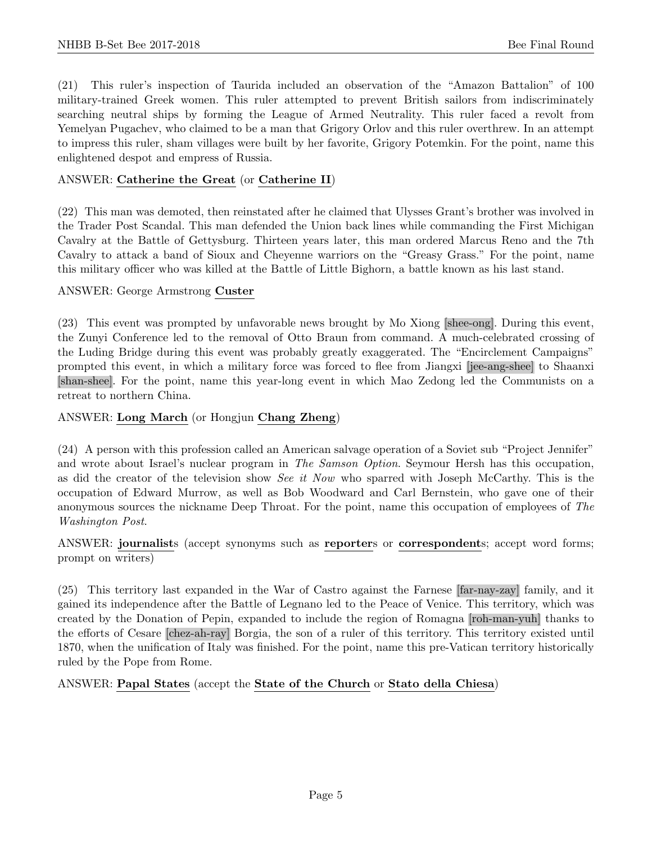(21) This ruler's inspection of Taurida included an observation of the "Amazon Battalion" of 100 military-trained Greek women. This ruler attempted to prevent British sailors from indiscriminately searching neutral ships by forming the League of Armed Neutrality. This ruler faced a revolt from Yemelyan Pugachev, who claimed to be a man that Grigory Orlov and this ruler overthrew. In an attempt to impress this ruler, sham villages were built by her favorite, Grigory Potemkin. For the point, name this enlightened despot and empress of Russia.

# ANSWER: Catherine the Great (or Catherine II)

(22) This man was demoted, then reinstated after he claimed that Ulysses Grant's brother was involved in the Trader Post Scandal. This man defended the Union back lines while commanding the First Michigan Cavalry at the Battle of Gettysburg. Thirteen years later, this man ordered Marcus Reno and the 7th Cavalry to attack a band of Sioux and Cheyenne warriors on the "Greasy Grass." For the point, name this military officer who was killed at the Battle of Little Bighorn, a battle known as his last stand.

#### ANSWER: George Armstrong Custer

(23) This event was prompted by unfavorable news brought by Mo Xiong [shee-ong]. During this event, the Zunyi Conference led to the removal of Otto Braun from command. A much-celebrated crossing of the Luding Bridge during this event was probably greatly exaggerated. The "Encirclement Campaigns" prompted this event, in which a military force was forced to flee from Jiangxi [jee-ang-shee] to Shaanxi [shan-shee]. For the point, name this year-long event in which Mao Zedong led the Communists on a retreat to northern China.

#### ANSWER: Long March (or Hongjun Chang Zheng)

(24) A person with this profession called an American salvage operation of a Soviet sub "Project Jennifer" and wrote about Israel's nuclear program in The Samson Option. Seymour Hersh has this occupation, as did the creator of the television show See it Now who sparred with Joseph McCarthy. This is the occupation of Edward Murrow, as well as Bob Woodward and Carl Bernstein, who gave one of their anonymous sources the nickname Deep Throat. For the point, name this occupation of employees of The Washington Post.

#### ANSWER: journalists (accept synonyms such as reporters or correspondents; accept word forms; prompt on writers)

(25) This territory last expanded in the War of Castro against the Farnese [far-nay-zay] family, and it gained its independence after the Battle of Legnano led to the Peace of Venice. This territory, which was created by the Donation of Pepin, expanded to include the region of Romagna [roh-man-yuh] thanks to the efforts of Cesare [chez-ah-ray] Borgia, the son of a ruler of this territory. This territory existed until 1870, when the unification of Italy was finished. For the point, name this pre-Vatican territory historically ruled by the Pope from Rome.

#### ANSWER: Papal States (accept the State of the Church or Stato della Chiesa)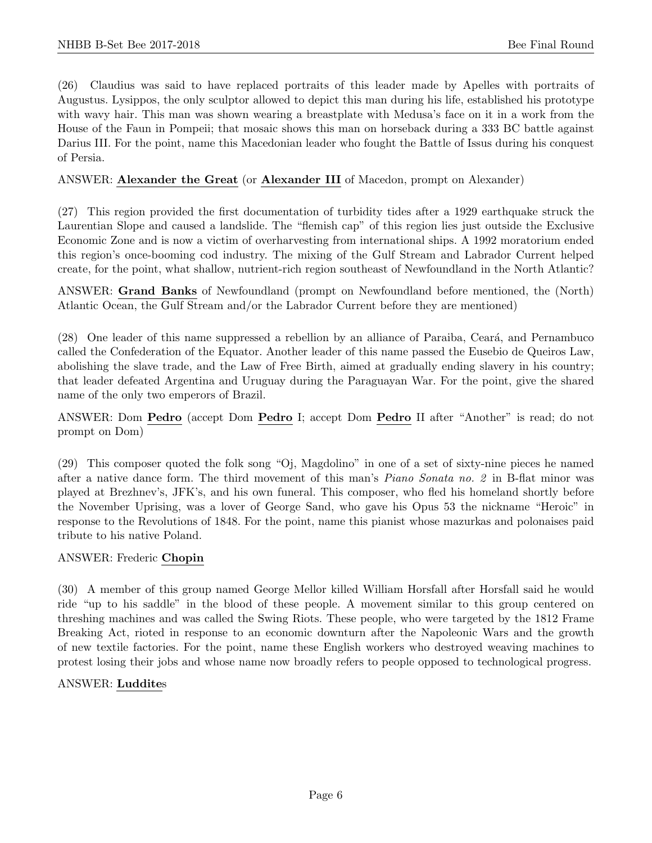(26) Claudius was said to have replaced portraits of this leader made by Apelles with portraits of Augustus. Lysippos, the only sculptor allowed to depict this man during his life, established his prototype with wavy hair. This man was shown wearing a breastplate with Medusa's face on it in a work from the House of the Faun in Pompeii; that mosaic shows this man on horseback during a 333 BC battle against Darius III. For the point, name this Macedonian leader who fought the Battle of Issus during his conquest of Persia.

#### ANSWER: Alexander the Great (or Alexander III of Macedon, prompt on Alexander)

(27) This region provided the first documentation of turbidity tides after a 1929 earthquake struck the Laurentian Slope and caused a landslide. The "flemish cap" of this region lies just outside the Exclusive Economic Zone and is now a victim of overharvesting from international ships. A 1992 moratorium ended this region's once-booming cod industry. The mixing of the Gulf Stream and Labrador Current helped create, for the point, what shallow, nutrient-rich region southeast of Newfoundland in the North Atlantic?

ANSWER: Grand Banks of Newfoundland (prompt on Newfoundland before mentioned, the (North) Atlantic Ocean, the Gulf Stream and/or the Labrador Current before they are mentioned)

(28) One leader of this name suppressed a rebellion by an alliance of Paraiba, Ceará, and Pernambuco called the Confederation of the Equator. Another leader of this name passed the Eusebio de Queiros Law, abolishing the slave trade, and the Law of Free Birth, aimed at gradually ending slavery in his country; that leader defeated Argentina and Uruguay during the Paraguayan War. For the point, give the shared name of the only two emperors of Brazil.

ANSWER: Dom Pedro (accept Dom Pedro I; accept Dom Pedro II after "Another" is read; do not prompt on Dom)

(29) This composer quoted the folk song "Oj, Magdolino" in one of a set of sixty-nine pieces he named after a native dance form. The third movement of this man's Piano Sonata no. 2 in B-flat minor was played at Brezhnev's, JFK's, and his own funeral. This composer, who fled his homeland shortly before the November Uprising, was a lover of George Sand, who gave his Opus 53 the nickname "Heroic" in response to the Revolutions of 1848. For the point, name this pianist whose mazurkas and polonaises paid tribute to his native Poland.

#### ANSWER: Frederic Chopin

(30) A member of this group named George Mellor killed William Horsfall after Horsfall said he would ride "up to his saddle" in the blood of these people. A movement similar to this group centered on threshing machines and was called the Swing Riots. These people, who were targeted by the 1812 Frame Breaking Act, rioted in response to an economic downturn after the Napoleonic Wars and the growth of new textile factories. For the point, name these English workers who destroyed weaving machines to protest losing their jobs and whose name now broadly refers to people opposed to technological progress.

#### ANSWER: Luddites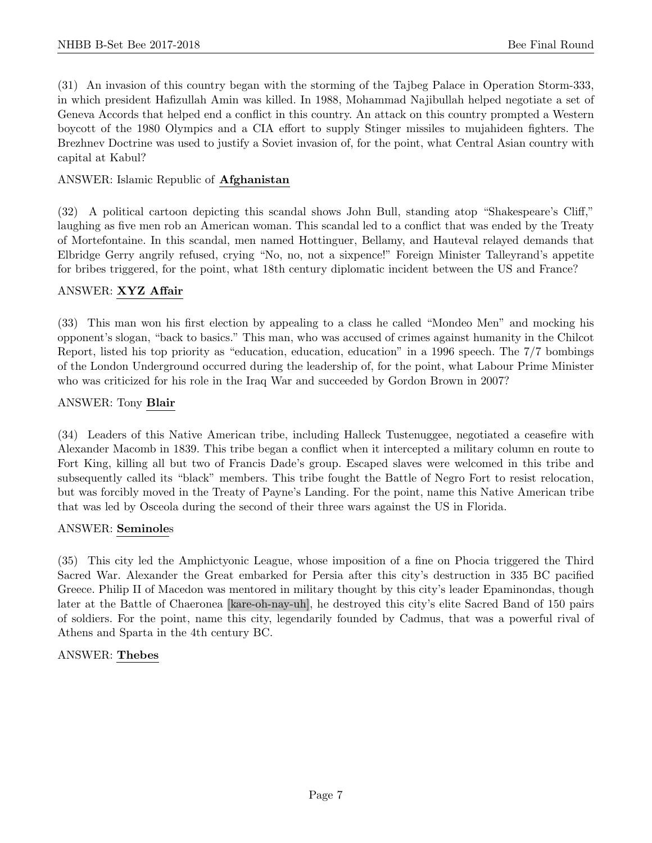(31) An invasion of this country began with the storming of the Tajbeg Palace in Operation Storm-333, in which president Hafizullah Amin was killed. In 1988, Mohammad Najibullah helped negotiate a set of Geneva Accords that helped end a conflict in this country. An attack on this country prompted a Western boycott of the 1980 Olympics and a CIA effort to supply Stinger missiles to mujahideen fighters. The Brezhnev Doctrine was used to justify a Soviet invasion of, for the point, what Central Asian country with capital at Kabul?

# ANSWER: Islamic Republic of Afghanistan

(32) A political cartoon depicting this scandal shows John Bull, standing atop "Shakespeare's Cliff," laughing as five men rob an American woman. This scandal led to a conflict that was ended by the Treaty of Mortefontaine. In this scandal, men named Hottinguer, Bellamy, and Hauteval relayed demands that Elbridge Gerry angrily refused, crying "No, no, not a sixpence!" Foreign Minister Talleyrand's appetite for bribes triggered, for the point, what 18th century diplomatic incident between the US and France?

#### ANSWER: XYZ Affair

(33) This man won his first election by appealing to a class he called "Mondeo Men" and mocking his opponent's slogan, "back to basics." This man, who was accused of crimes against humanity in the Chilcot Report, listed his top priority as "education, education, education" in a 1996 speech. The 7/7 bombings of the London Underground occurred during the leadership of, for the point, what Labour Prime Minister who was criticized for his role in the Iraq War and succeeded by Gordon Brown in 2007?

#### ANSWER: Tony Blair

(34) Leaders of this Native American tribe, including Halleck Tustenuggee, negotiated a ceasefire with Alexander Macomb in 1839. This tribe began a conflict when it intercepted a military column en route to Fort King, killing all but two of Francis Dade's group. Escaped slaves were welcomed in this tribe and subsequently called its "black" members. This tribe fought the Battle of Negro Fort to resist relocation, but was forcibly moved in the Treaty of Payne's Landing. For the point, name this Native American tribe that was led by Osceola during the second of their three wars against the US in Florida.

#### ANSWER: Seminoles

(35) This city led the Amphictyonic League, whose imposition of a fine on Phocia triggered the Third Sacred War. Alexander the Great embarked for Persia after this city's destruction in 335 BC pacified Greece. Philip II of Macedon was mentored in military thought by this city's leader Epaminondas, though later at the Battle of Chaeronea [kare-oh-nay-uh], he destroyed this city's elite Sacred Band of 150 pairs of soldiers. For the point, name this city, legendarily founded by Cadmus, that was a powerful rival of Athens and Sparta in the 4th century BC.

#### ANSWER: Thebes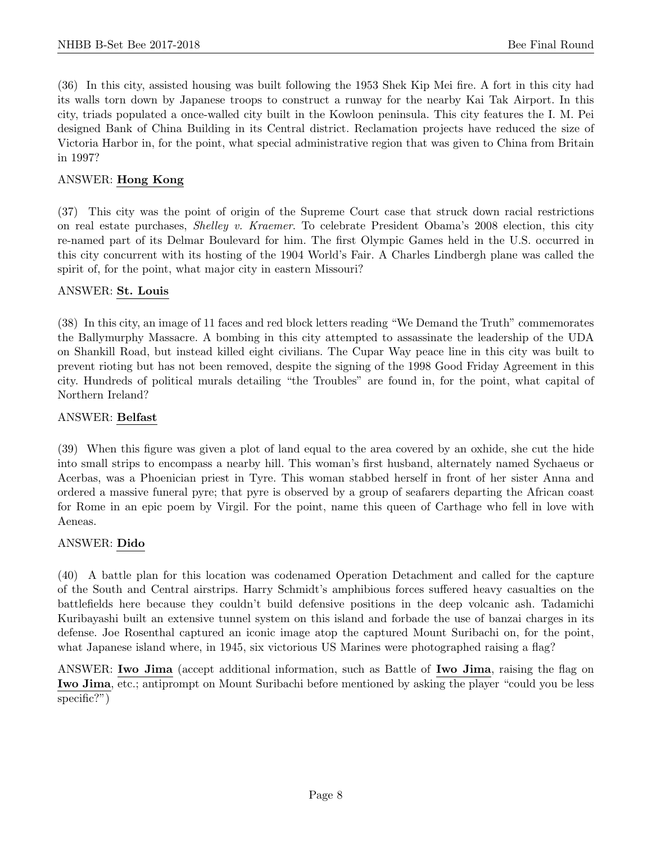(36) In this city, assisted housing was built following the 1953 Shek Kip Mei fire. A fort in this city had its walls torn down by Japanese troops to construct a runway for the nearby Kai Tak Airport. In this city, triads populated a once-walled city built in the Kowloon peninsula. This city features the I. M. Pei designed Bank of China Building in its Central district. Reclamation projects have reduced the size of Victoria Harbor in, for the point, what special administrative region that was given to China from Britain in 1997?

# ANSWER: Hong Kong

(37) This city was the point of origin of the Supreme Court case that struck down racial restrictions on real estate purchases, Shelley v. Kraemer. To celebrate President Obama's 2008 election, this city re-named part of its Delmar Boulevard for him. The first Olympic Games held in the U.S. occurred in this city concurrent with its hosting of the 1904 World's Fair. A Charles Lindbergh plane was called the spirit of, for the point, what major city in eastern Missouri?

#### ANSWER: St. Louis

(38) In this city, an image of 11 faces and red block letters reading "We Demand the Truth" commemorates the Ballymurphy Massacre. A bombing in this city attempted to assassinate the leadership of the UDA on Shankill Road, but instead killed eight civilians. The Cupar Way peace line in this city was built to prevent rioting but has not been removed, despite the signing of the 1998 Good Friday Agreement in this city. Hundreds of political murals detailing "the Troubles" are found in, for the point, what capital of Northern Ireland?

#### ANSWER: Belfast

(39) When this figure was given a plot of land equal to the area covered by an oxhide, she cut the hide into small strips to encompass a nearby hill. This woman's first husband, alternately named Sychaeus or Acerbas, was a Phoenician priest in Tyre. This woman stabbed herself in front of her sister Anna and ordered a massive funeral pyre; that pyre is observed by a group of seafarers departing the African coast for Rome in an epic poem by Virgil. For the point, name this queen of Carthage who fell in love with Aeneas.

#### ANSWER: Dido

(40) A battle plan for this location was codenamed Operation Detachment and called for the capture of the South and Central airstrips. Harry Schmidt's amphibious forces suffered heavy casualties on the battlefields here because they couldn't build defensive positions in the deep volcanic ash. Tadamichi Kuribayashi built an extensive tunnel system on this island and forbade the use of banzai charges in its defense. Joe Rosenthal captured an iconic image atop the captured Mount Suribachi on, for the point, what Japanese island where, in 1945, six victorious US Marines were photographed raising a flag?

ANSWER: Iwo Jima (accept additional information, such as Battle of Iwo Jima, raising the flag on Iwo Jima, etc.; antiprompt on Mount Suribachi before mentioned by asking the player "could you be less specific?")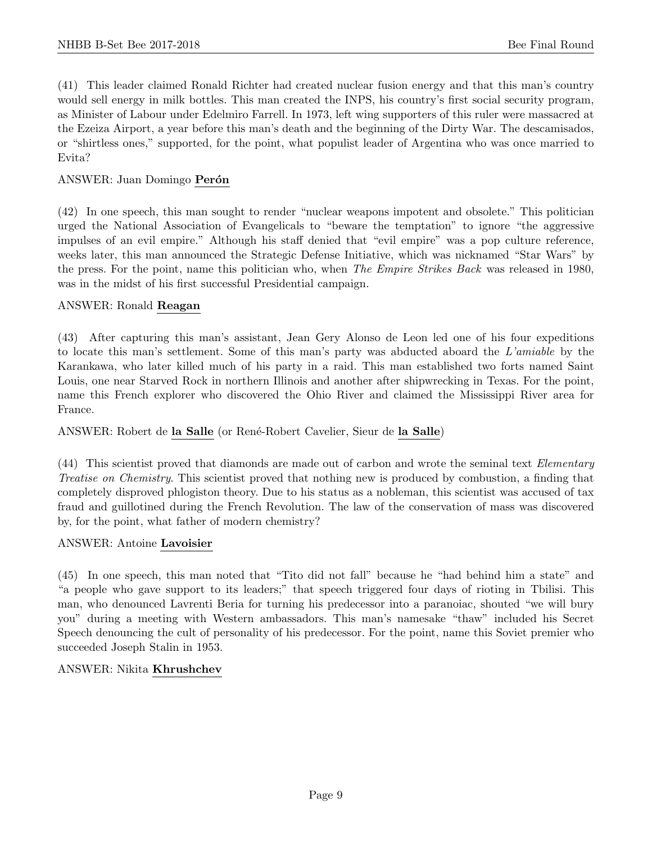(41) This leader claimed Ronald Richter had created nuclear fusion energy and that this man's country would sell energy in milk bottles. This man created the INPS, his country's first social security program, as Minister of Labour under Edelmiro Farrell. In 1973, left wing supporters of this ruler were massacred at the Ezeiza Airport, a year before this man's death and the beginning of the Dirty War. The descamisados, or "shirtless ones," supported, for the point, what populist leader of Argentina who was once married to Evita?

# ANSWER: Juan Domingo Perón

(42) In one speech, this man sought to render "nuclear weapons impotent and obsolete." This politician urged the National Association of Evangelicals to "beware the temptation" to ignore "the aggressive impulses of an evil empire." Although his staff denied that "evil empire" was a pop culture reference, weeks later, this man announced the Strategic Defense Initiative, which was nicknamed "Star Wars" by the press. For the point, name this politician who, when The Empire Strikes Back was released in 1980, was in the midst of his first successful Presidential campaign.

#### ANSWER: Ronald Reagan

(43) After capturing this man's assistant, Jean Gery Alonso de Leon led one of his four expeditions to locate this man's settlement. Some of this man's party was abducted aboard the L'amiable by the Karankawa, who later killed much of his party in a raid. This man established two forts named Saint Louis, one near Starved Rock in northern Illinois and another after shipwrecking in Texas. For the point, name this French explorer who discovered the Ohio River and claimed the Mississippi River area for France.

#### ANSWER: Robert de la Salle (or René-Robert Cavelier, Sieur de la Salle)

(44) This scientist proved that diamonds are made out of carbon and wrote the seminal text Elementary Treatise on Chemistry. This scientist proved that nothing new is produced by combustion, a finding that completely disproved phlogiston theory. Due to his status as a nobleman, this scientist was accused of tax fraud and guillotined during the French Revolution. The law of the conservation of mass was discovered by, for the point, what father of modern chemistry?

#### ANSWER: Antoine Lavoisier

(45) In one speech, this man noted that "Tito did not fall" because he "had behind him a state" and "a people who gave support to its leaders;" that speech triggered four days of rioting in Tbilisi. This man, who denounced Lavrenti Beria for turning his predecessor into a paranoiac, shouted "we will bury you" during a meeting with Western ambassadors. This man's namesake "thaw" included his Secret Speech denouncing the cult of personality of his predecessor. For the point, name this Soviet premier who succeeded Joseph Stalin in 1953.

#### ANSWER: Nikita Khrushchev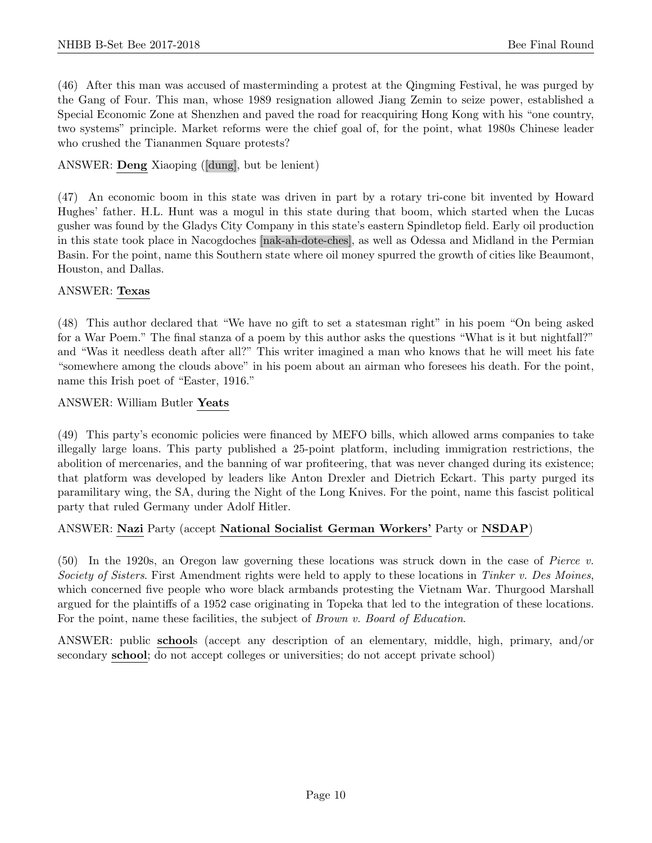(46) After this man was accused of masterminding a protest at the Qingming Festival, he was purged by the Gang of Four. This man, whose 1989 resignation allowed Jiang Zemin to seize power, established a Special Economic Zone at Shenzhen and paved the road for reacquiring Hong Kong with his "one country, two systems" principle. Market reforms were the chief goal of, for the point, what 1980s Chinese leader who crushed the Tiananmen Square protests?

# ANSWER: Deng Xiaoping ([dung], but be lenient)

(47) An economic boom in this state was driven in part by a rotary tri-cone bit invented by Howard Hughes' father. H.L. Hunt was a mogul in this state during that boom, which started when the Lucas gusher was found by the Gladys City Company in this state's eastern Spindletop field. Early oil production in this state took place in Nacogdoches [nak-ah-dote-ches], as well as Odessa and Midland in the Permian Basin. For the point, name this Southern state where oil money spurred the growth of cities like Beaumont, Houston, and Dallas.

#### ANSWER: Texas

(48) This author declared that "We have no gift to set a statesman right" in his poem "On being asked for a War Poem." The final stanza of a poem by this author asks the questions "What is it but nightfall?" and "Was it needless death after all?" This writer imagined a man who knows that he will meet his fate "somewhere among the clouds above" in his poem about an airman who foresees his death. For the point, name this Irish poet of "Easter, 1916."

#### ANSWER: William Butler Yeats

(49) This party's economic policies were financed by MEFO bills, which allowed arms companies to take illegally large loans. This party published a 25-point platform, including immigration restrictions, the abolition of mercenaries, and the banning of war profiteering, that was never changed during its existence; that platform was developed by leaders like Anton Drexler and Dietrich Eckart. This party purged its paramilitary wing, the SA, during the Night of the Long Knives. For the point, name this fascist political party that ruled Germany under Adolf Hitler.

# ANSWER: Nazi Party (accept National Socialist German Workers' Party or NSDAP)

(50) In the 1920s, an Oregon law governing these locations was struck down in the case of Pierce v. Society of Sisters. First Amendment rights were held to apply to these locations in Tinker v. Des Moines, which concerned five people who wore black armbands protesting the Vietnam War. Thurgood Marshall argued for the plaintiffs of a 1952 case originating in Topeka that led to the integration of these locations. For the point, name these facilities, the subject of *Brown v. Board of Education*.

ANSWER: public schools (accept any description of an elementary, middle, high, primary, and/or secondary school; do not accept colleges or universities; do not accept private school)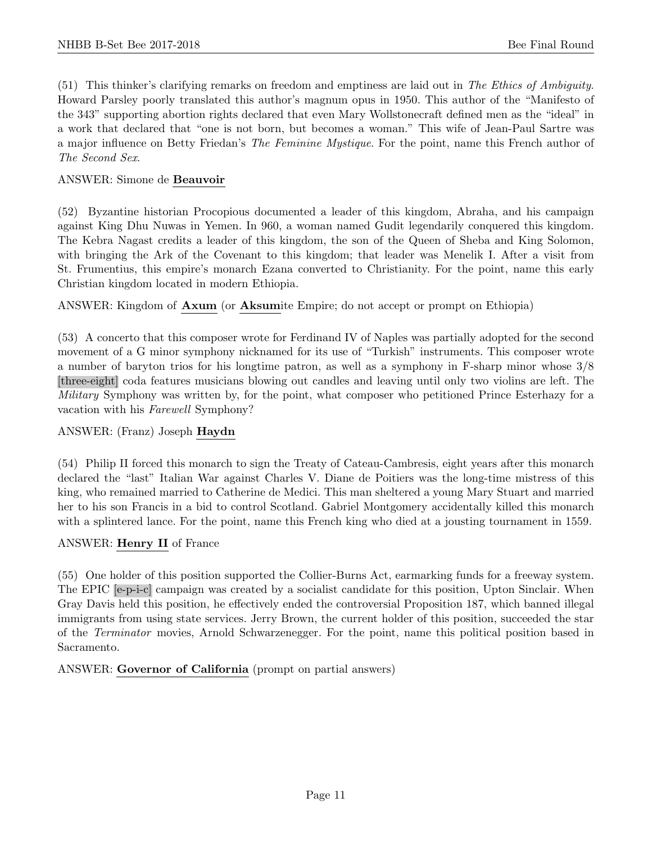(51) This thinker's clarifying remarks on freedom and emptiness are laid out in The Ethics of Ambiguity. Howard Parsley poorly translated this author's magnum opus in 1950. This author of the "Manifesto of the 343" supporting abortion rights declared that even Mary Wollstonecraft defined men as the "ideal" in a work that declared that "one is not born, but becomes a woman." This wife of Jean-Paul Sartre was a major influence on Betty Friedan's The Feminine Mystique. For the point, name this French author of The Second Sex.

# ANSWER: Simone de Beauvoir

(52) Byzantine historian Procopious documented a leader of this kingdom, Abraha, and his campaign against King Dhu Nuwas in Yemen. In 960, a woman named Gudit legendarily conquered this kingdom. The Kebra Nagast credits a leader of this kingdom, the son of the Queen of Sheba and King Solomon, with bringing the Ark of the Covenant to this kingdom; that leader was Menelik I. After a visit from St. Frumentius, this empire's monarch Ezana converted to Christianity. For the point, name this early Christian kingdom located in modern Ethiopia.

ANSWER: Kingdom of Axum (or Aksumite Empire; do not accept or prompt on Ethiopia)

(53) A concerto that this composer wrote for Ferdinand IV of Naples was partially adopted for the second movement of a G minor symphony nicknamed for its use of "Turkish" instruments. This composer wrote a number of baryton trios for his longtime patron, as well as a symphony in F-sharp minor whose 3/8 [three-eight] coda features musicians blowing out candles and leaving until only two violins are left. The Military Symphony was written by, for the point, what composer who petitioned Prince Esterhazy for a vacation with his Farewell Symphony?

#### ANSWER: (Franz) Joseph Haydn

(54) Philip II forced this monarch to sign the Treaty of Cateau-Cambresis, eight years after this monarch declared the "last" Italian War against Charles V. Diane de Poitiers was the long-time mistress of this king, who remained married to Catherine de Medici. This man sheltered a young Mary Stuart and married her to his son Francis in a bid to control Scotland. Gabriel Montgomery accidentally killed this monarch with a splintered lance. For the point, name this French king who died at a jousting tournament in 1559.

#### ANSWER: Henry II of France

(55) One holder of this position supported the Collier-Burns Act, earmarking funds for a freeway system. The EPIC [e-p-i-c] campaign was created by a socialist candidate for this position, Upton Sinclair. When Gray Davis held this position, he effectively ended the controversial Proposition 187, which banned illegal immigrants from using state services. Jerry Brown, the current holder of this position, succeeded the star of the Terminator movies, Arnold Schwarzenegger. For the point, name this political position based in Sacramento.

ANSWER: Governor of California (prompt on partial answers)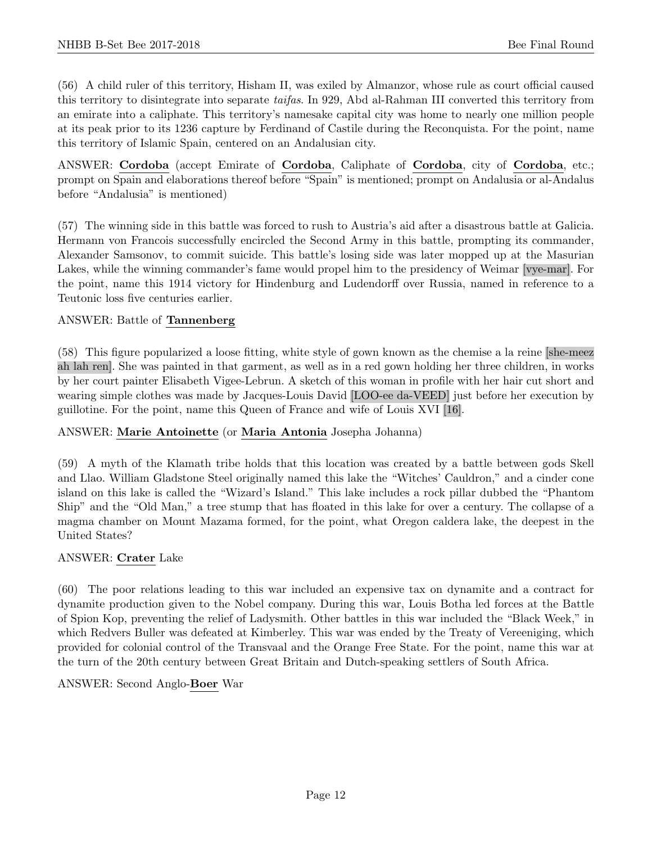(56) A child ruler of this territory, Hisham II, was exiled by Almanzor, whose rule as court official caused this territory to disintegrate into separate taifas. In 929, Abd al-Rahman III converted this territory from an emirate into a caliphate. This territory's namesake capital city was home to nearly one million people at its peak prior to its 1236 capture by Ferdinand of Castile during the Reconquista. For the point, name this territory of Islamic Spain, centered on an Andalusian city.

ANSWER: Cordoba (accept Emirate of Cordoba, Caliphate of Cordoba, city of Cordoba, etc.; prompt on Spain and elaborations thereof before "Spain" is mentioned; prompt on Andalusia or al-Andalus before "Andalusia" is mentioned)

(57) The winning side in this battle was forced to rush to Austria's aid after a disastrous battle at Galicia. Hermann von Francois successfully encircled the Second Army in this battle, prompting its commander, Alexander Samsonov, to commit suicide. This battle's losing side was later mopped up at the Masurian Lakes, while the winning commander's fame would propel him to the presidency of Weimar [vye-mar]. For the point, name this 1914 victory for Hindenburg and Ludendorff over Russia, named in reference to a Teutonic loss five centuries earlier.

# ANSWER: Battle of Tannenberg

(58) This figure popularized a loose fitting, white style of gown known as the chemise a la reine [she-meez ah lah ren]. She was painted in that garment, as well as in a red gown holding her three children, in works by her court painter Elisabeth Vigee-Lebrun. A sketch of this woman in profile with her hair cut short and wearing simple clothes was made by Jacques-Louis David [LOO-ee da-VEED] just before her execution by guillotine. For the point, name this Queen of France and wife of Louis XVI [16].

#### ANSWER: Marie Antoinette (or Maria Antonia Josepha Johanna)

(59) A myth of the Klamath tribe holds that this location was created by a battle between gods Skell and Llao. William Gladstone Steel originally named this lake the "Witches' Cauldron," and a cinder cone island on this lake is called the "Wizard's Island." This lake includes a rock pillar dubbed the "Phantom Ship" and the "Old Man," a tree stump that has floated in this lake for over a century. The collapse of a magma chamber on Mount Mazama formed, for the point, what Oregon caldera lake, the deepest in the United States?

# ANSWER: Crater Lake

(60) The poor relations leading to this war included an expensive tax on dynamite and a contract for dynamite production given to the Nobel company. During this war, Louis Botha led forces at the Battle of Spion Kop, preventing the relief of Ladysmith. Other battles in this war included the "Black Week," in which Redvers Buller was defeated at Kimberley. This war was ended by the Treaty of Vereeniging, which provided for colonial control of the Transvaal and the Orange Free State. For the point, name this war at the turn of the 20th century between Great Britain and Dutch-speaking settlers of South Africa.

#### ANSWER: Second Anglo-Boer War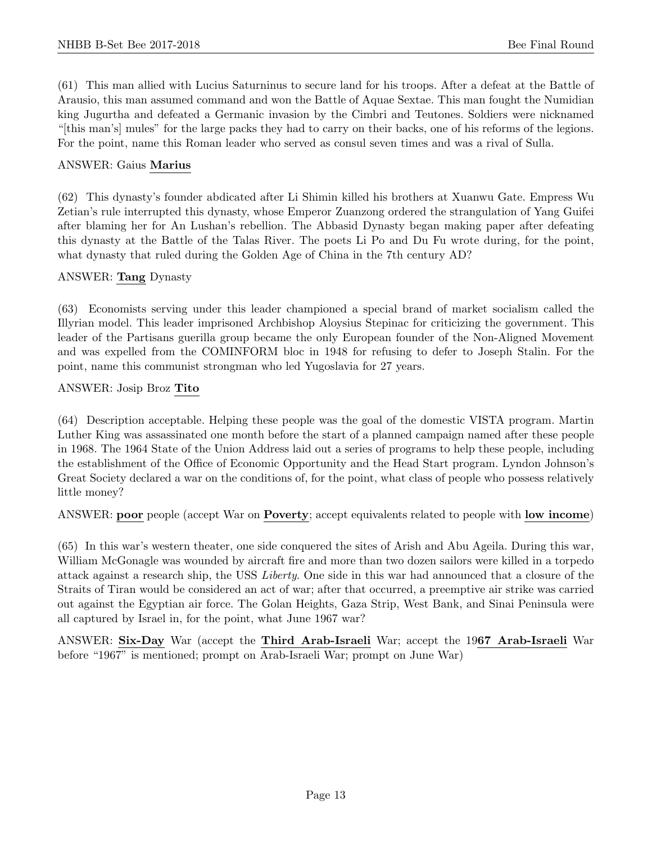(61) This man allied with Lucius Saturninus to secure land for his troops. After a defeat at the Battle of Arausio, this man assumed command and won the Battle of Aquae Sextae. This man fought the Numidian king Jugurtha and defeated a Germanic invasion by the Cimbri and Teutones. Soldiers were nicknamed "[this man's] mules" for the large packs they had to carry on their backs, one of his reforms of the legions. For the point, name this Roman leader who served as consul seven times and was a rival of Sulla.

#### ANSWER: Gaius Marius

(62) This dynasty's founder abdicated after Li Shimin killed his brothers at Xuanwu Gate. Empress Wu Zetian's rule interrupted this dynasty, whose Emperor Zuanzong ordered the strangulation of Yang Guifei after blaming her for An Lushan's rebellion. The Abbasid Dynasty began making paper after defeating this dynasty at the Battle of the Talas River. The poets Li Po and Du Fu wrote during, for the point, what dynasty that ruled during the Golden Age of China in the 7th century AD?

#### ANSWER: Tang Dynasty

(63) Economists serving under this leader championed a special brand of market socialism called the Illyrian model. This leader imprisoned Archbishop Aloysius Stepinac for criticizing the government. This leader of the Partisans guerilla group became the only European founder of the Non-Aligned Movement and was expelled from the COMINFORM bloc in 1948 for refusing to defer to Joseph Stalin. For the point, name this communist strongman who led Yugoslavia for 27 years.

#### ANSWER: Josip Broz Tito

(64) Description acceptable. Helping these people was the goal of the domestic VISTA program. Martin Luther King was assassinated one month before the start of a planned campaign named after these people in 1968. The 1964 State of the Union Address laid out a series of programs to help these people, including the establishment of the Office of Economic Opportunity and the Head Start program. Lyndon Johnson's Great Society declared a war on the conditions of, for the point, what class of people who possess relatively little money?

ANSWER: poor people (accept War on Poverty; accept equivalents related to people with low income)

(65) In this war's western theater, one side conquered the sites of Arish and Abu Ageila. During this war, William McGonagle was wounded by aircraft fire and more than two dozen sailors were killed in a torpedo attack against a research ship, the USS Liberty. One side in this war had announced that a closure of the Straits of Tiran would be considered an act of war; after that occurred, a preemptive air strike was carried out against the Egyptian air force. The Golan Heights, Gaza Strip, West Bank, and Sinai Peninsula were all captured by Israel in, for the point, what June 1967 war?

ANSWER: Six-Day War (accept the Third Arab-Israeli War; accept the 1967 Arab-Israeli War before "1967" is mentioned; prompt on Arab-Israeli War; prompt on June War)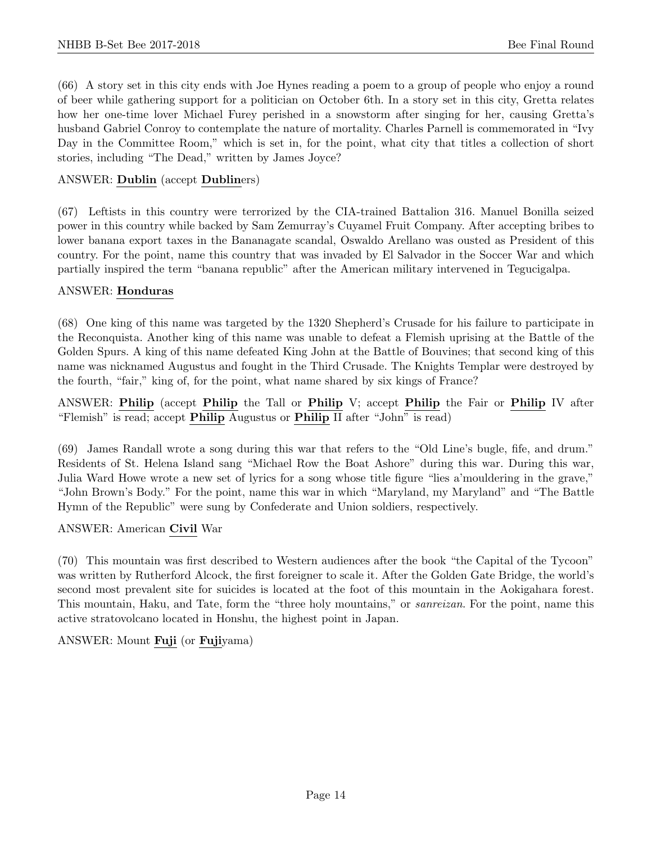(66) A story set in this city ends with Joe Hynes reading a poem to a group of people who enjoy a round of beer while gathering support for a politician on October 6th. In a story set in this city, Gretta relates how her one-time lover Michael Furey perished in a snowstorm after singing for her, causing Gretta's husband Gabriel Conroy to contemplate the nature of mortality. Charles Parnell is commemorated in "Ivy Day in the Committee Room," which is set in, for the point, what city that titles a collection of short stories, including "The Dead," written by James Joyce?

# ANSWER: Dublin (accept Dubliners)

(67) Leftists in this country were terrorized by the CIA-trained Battalion 316. Manuel Bonilla seized power in this country while backed by Sam Zemurray's Cuyamel Fruit Company. After accepting bribes to lower banana export taxes in the Bananagate scandal, Oswaldo Arellano was ousted as President of this country. For the point, name this country that was invaded by El Salvador in the Soccer War and which partially inspired the term "banana republic" after the American military intervened in Tegucigalpa.

#### ANSWER: Honduras

(68) One king of this name was targeted by the 1320 Shepherd's Crusade for his failure to participate in the Reconquista. Another king of this name was unable to defeat a Flemish uprising at the Battle of the Golden Spurs. A king of this name defeated King John at the Battle of Bouvines; that second king of this name was nicknamed Augustus and fought in the Third Crusade. The Knights Templar were destroyed by the fourth, "fair," king of, for the point, what name shared by six kings of France?

ANSWER: Philip (accept Philip the Tall or Philip V; accept Philip the Fair or Philip IV after "Flemish" is read; accept Philip Augustus or Philip II after "John" is read)

(69) James Randall wrote a song during this war that refers to the "Old Line's bugle, fife, and drum." Residents of St. Helena Island sang "Michael Row the Boat Ashore" during this war. During this war, Julia Ward Howe wrote a new set of lyrics for a song whose title figure "lies a'mouldering in the grave," "John Brown's Body." For the point, name this war in which "Maryland, my Maryland" and "The Battle Hymn of the Republic" were sung by Confederate and Union soldiers, respectively.

#### ANSWER: American Civil War

(70) This mountain was first described to Western audiences after the book "the Capital of the Tycoon" was written by Rutherford Alcock, the first foreigner to scale it. After the Golden Gate Bridge, the world's second most prevalent site for suicides is located at the foot of this mountain in the Aokigahara forest. This mountain, Haku, and Tate, form the "three holy mountains," or *sanreizan*. For the point, name this active stratovolcano located in Honshu, the highest point in Japan.

# ANSWER: Mount Fuji (or Fujiyama)